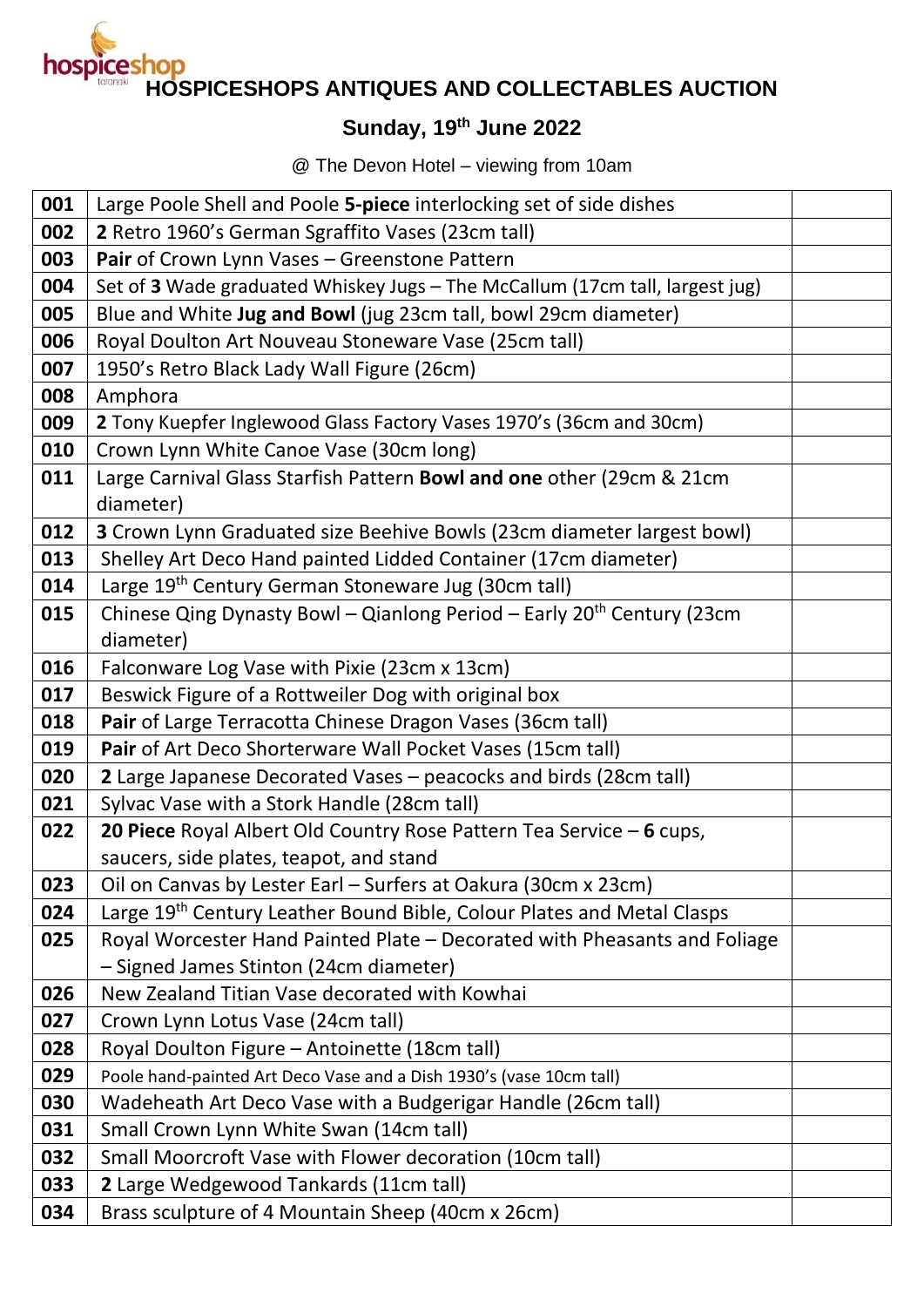

**HOSPICESHOPS ANTIQUES AND COLLECTABLES AUCTION** 

## **Sunday, 19th June 2022**

@ The Devon Hotel – viewing from 10am

| 001 | Large Poole Shell and Poole 5-piece interlocking set of side dishes                |  |
|-----|------------------------------------------------------------------------------------|--|
| 002 | 2 Retro 1960's German Sgraffito Vases (23cm tall)                                  |  |
| 003 | Pair of Crown Lynn Vases - Greenstone Pattern                                      |  |
| 004 | Set of 3 Wade graduated Whiskey Jugs - The McCallum (17cm tall, largest jug)       |  |
| 005 | Blue and White Jug and Bowl (jug 23cm tall, bowl 29cm diameter)                    |  |
| 006 | Royal Doulton Art Nouveau Stoneware Vase (25cm tall)                               |  |
| 007 | 1950's Retro Black Lady Wall Figure (26cm)                                         |  |
| 008 | Amphora                                                                            |  |
| 009 | 2 Tony Kuepfer Inglewood Glass Factory Vases 1970's (36cm and 30cm)                |  |
| 010 | Crown Lynn White Canoe Vase (30cm long)                                            |  |
| 011 | Large Carnival Glass Starfish Pattern Bowl and one other (29cm & 21cm              |  |
|     | diameter)                                                                          |  |
| 012 | <b>3</b> Crown Lynn Graduated size Beehive Bowls (23cm diameter largest bowl)      |  |
| 013 | Shelley Art Deco Hand painted Lidded Container (17cm diameter)                     |  |
| 014 | Large 19 <sup>th</sup> Century German Stoneware Jug (30cm tall)                    |  |
| 015 | Chinese Qing Dynasty Bowl - Qianlong Period - Early 20 <sup>th</sup> Century (23cm |  |
|     | diameter)                                                                          |  |
| 016 | Falconware Log Vase with Pixie (23cm x 13cm)                                       |  |
| 017 | Beswick Figure of a Rottweiler Dog with original box                               |  |
| 018 | Pair of Large Terracotta Chinese Dragon Vases (36cm tall)                          |  |
| 019 | Pair of Art Deco Shorterware Wall Pocket Vases (15cm tall)                         |  |
| 020 | 2 Large Japanese Decorated Vases - peacocks and birds (28cm tall)                  |  |
| 021 | Sylvac Vase with a Stork Handle (28cm tall)                                        |  |
| 022 | <b>20 Piece</b> Royal Albert Old Country Rose Pattern Tea Service $-6$ cups,       |  |
|     | saucers, side plates, teapot, and stand                                            |  |
| 023 | Oil on Canvas by Lester Earl - Surfers at Oakura (30cm x 23cm)                     |  |
| 024 | Large 19th Century Leather Bound Bible, Colour Plates and Metal Clasps             |  |
| 025 | Royal Worcester Hand Painted Plate - Decorated with Pheasants and Foliage          |  |
|     | - Signed James Stinton (24cm diameter)                                             |  |
| 026 | New Zealand Titian Vase decorated with Kowhai                                      |  |
| 027 | Crown Lynn Lotus Vase (24cm tall)                                                  |  |
| 028 | Royal Doulton Figure - Antoinette (18cm tall)                                      |  |
| 029 | Poole hand-painted Art Deco Vase and a Dish 1930's (vase 10cm tall)                |  |
| 030 | Wadeheath Art Deco Vase with a Budgerigar Handle (26cm tall)                       |  |
| 031 | Small Crown Lynn White Swan (14cm tall)                                            |  |
| 032 | Small Moorcroft Vase with Flower decoration (10cm tall)                            |  |
| 033 | 2 Large Wedgewood Tankards (11cm tall)                                             |  |
| 034 | Brass sculpture of 4 Mountain Sheep (40cm x 26cm)                                  |  |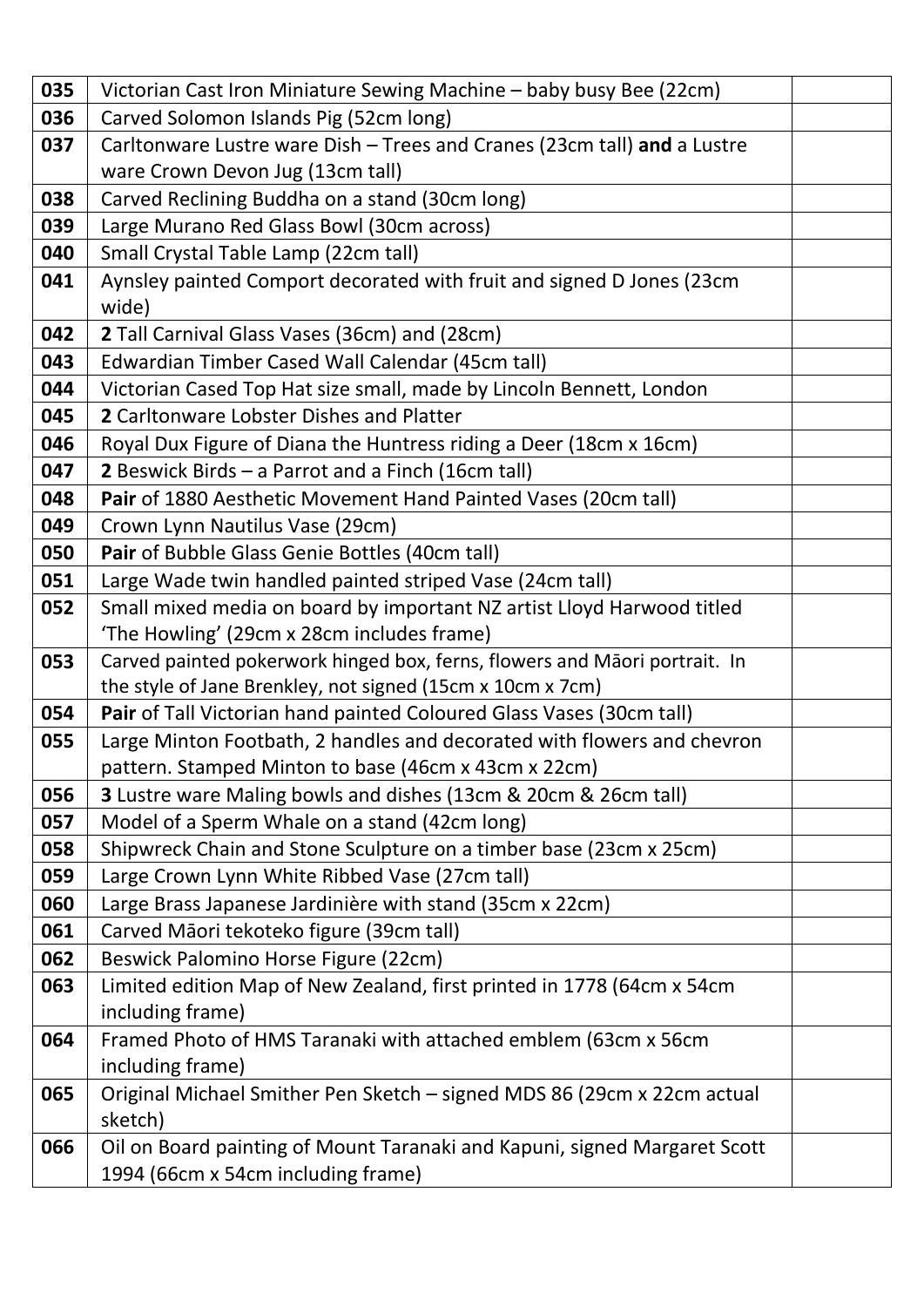| 035 | Victorian Cast Iron Miniature Sewing Machine - baby busy Bee (22cm)        |  |
|-----|----------------------------------------------------------------------------|--|
| 036 | Carved Solomon Islands Pig (52cm long)                                     |  |
| 037 | Carltonware Lustre ware Dish - Trees and Cranes (23cm tall) and a Lustre   |  |
|     | ware Crown Devon Jug (13cm tall)                                           |  |
| 038 | Carved Reclining Buddha on a stand (30cm long)                             |  |
| 039 | Large Murano Red Glass Bowl (30cm across)                                  |  |
| 040 | Small Crystal Table Lamp (22cm tall)                                       |  |
| 041 | Aynsley painted Comport decorated with fruit and signed D Jones (23cm)     |  |
|     | wide)                                                                      |  |
| 042 | 2 Tall Carnival Glass Vases (36cm) and (28cm)                              |  |
| 043 | Edwardian Timber Cased Wall Calendar (45cm tall)                           |  |
| 044 | Victorian Cased Top Hat size small, made by Lincoln Bennett, London        |  |
| 045 | 2 Carltonware Lobster Dishes and Platter                                   |  |
| 046 | Royal Dux Figure of Diana the Huntress riding a Deer (18cm x 16cm)         |  |
| 047 | 2 Beswick Birds - a Parrot and a Finch (16cm tall)                         |  |
| 048 | Pair of 1880 Aesthetic Movement Hand Painted Vases (20cm tall)             |  |
| 049 | Crown Lynn Nautilus Vase (29cm)                                            |  |
| 050 | Pair of Bubble Glass Genie Bottles (40cm tall)                             |  |
| 051 | Large Wade twin handled painted striped Vase (24cm tall)                   |  |
| 052 | Small mixed media on board by important NZ artist Lloyd Harwood titled     |  |
|     | 'The Howling' (29cm x 28cm includes frame)                                 |  |
| 053 | Carved painted pokerwork hinged box, ferns, flowers and Māori portrait. In |  |
|     | the style of Jane Brenkley, not signed (15cm x 10cm x 7cm)                 |  |
| 054 | Pair of Tall Victorian hand painted Coloured Glass Vases (30cm tall)       |  |
| 055 | Large Minton Footbath, 2 handles and decorated with flowers and chevron    |  |
|     | pattern. Stamped Minton to base (46cm x 43cm x 22cm)                       |  |
| 056 | 3 Lustre ware Maling bowls and dishes (13cm & 20cm & 26cm tall)            |  |
| 057 | Model of a Sperm Whale on a stand (42cm long)                              |  |
| 058 | Shipwreck Chain and Stone Sculpture on a timber base (23cm x 25cm)         |  |
| 059 | Large Crown Lynn White Ribbed Vase (27cm tall)                             |  |
| 060 | Large Brass Japanese Jardinière with stand (35cm x 22cm)                   |  |
| 061 | Carved Māori tekoteko figure (39cm tall)                                   |  |
| 062 | Beswick Palomino Horse Figure (22cm)                                       |  |
| 063 | Limited edition Map of New Zealand, first printed in 1778 (64cm x 54cm     |  |
|     | including frame)                                                           |  |
| 064 | Framed Photo of HMS Taranaki with attached emblem (63cm x 56cm             |  |
|     | including frame)                                                           |  |
| 065 | Original Michael Smither Pen Sketch - signed MDS 86 (29cm x 22cm actual    |  |
|     | sketch)                                                                    |  |
| 066 | Oil on Board painting of Mount Taranaki and Kapuni, signed Margaret Scott  |  |
|     | 1994 (66cm x 54cm including frame)                                         |  |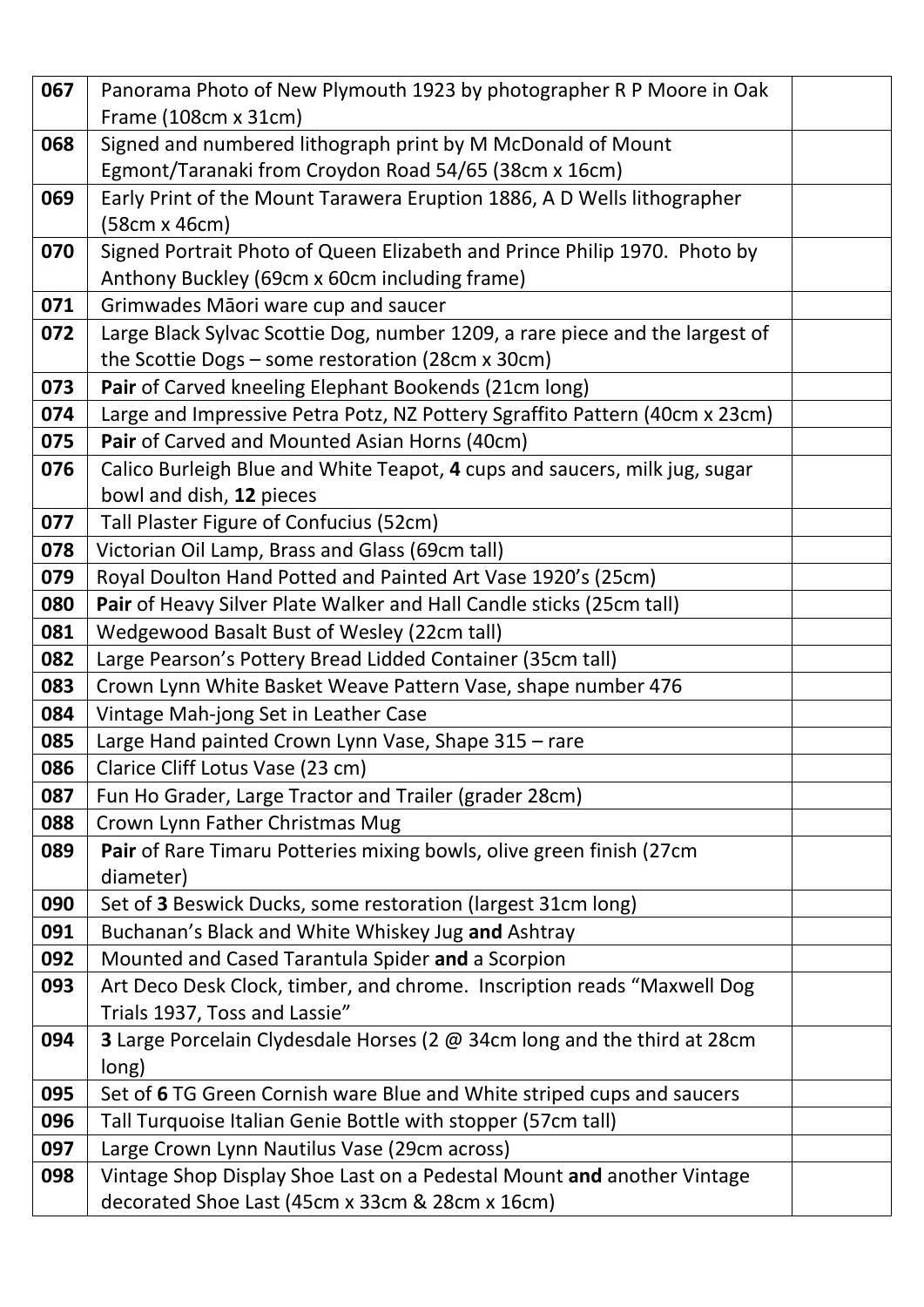| 067 | Panorama Photo of New Plymouth 1923 by photographer R P Moore in Oak            |  |
|-----|---------------------------------------------------------------------------------|--|
|     | Frame (108cm x 31cm)                                                            |  |
| 068 | Signed and numbered lithograph print by M McDonald of Mount                     |  |
|     | Egmont/Taranaki from Croydon Road 54/65 (38cm x 16cm)                           |  |
| 069 | Early Print of the Mount Tarawera Eruption 1886, A D Wells lithographer         |  |
|     | (58cm x 46cm)                                                                   |  |
| 070 | Signed Portrait Photo of Queen Elizabeth and Prince Philip 1970. Photo by       |  |
|     | Anthony Buckley (69cm x 60cm including frame)                                   |  |
| 071 | Grimwades Māori ware cup and saucer                                             |  |
| 072 | Large Black Sylvac Scottie Dog, number 1209, a rare piece and the largest of    |  |
|     | the Scottie Dogs - some restoration (28cm x 30cm)                               |  |
| 073 | Pair of Carved kneeling Elephant Bookends (21cm long)                           |  |
| 074 | Large and Impressive Petra Potz, NZ Pottery Sgraffito Pattern (40cm x 23cm)     |  |
| 075 | Pair of Carved and Mounted Asian Horns (40cm)                                   |  |
| 076 | Calico Burleigh Blue and White Teapot, 4 cups and saucers, milk jug, sugar      |  |
|     | bowl and dish, 12 pieces                                                        |  |
| 077 | Tall Plaster Figure of Confucius (52cm)                                         |  |
| 078 | Victorian Oil Lamp, Brass and Glass (69cm tall)                                 |  |
| 079 | Royal Doulton Hand Potted and Painted Art Vase 1920's (25cm)                    |  |
| 080 | Pair of Heavy Silver Plate Walker and Hall Candle sticks (25cm tall)            |  |
| 081 | Wedgewood Basalt Bust of Wesley (22cm tall)                                     |  |
| 082 | Large Pearson's Pottery Bread Lidded Container (35cm tall)                      |  |
| 083 | Crown Lynn White Basket Weave Pattern Vase, shape number 476                    |  |
| 084 | Vintage Mah-jong Set in Leather Case                                            |  |
| 085 | Large Hand painted Crown Lynn Vase, Shape 315 - rare                            |  |
| 086 | Clarice Cliff Lotus Vase (23 cm)                                                |  |
| 087 | Fun Ho Grader, Large Tractor and Trailer (grader 28cm)                          |  |
| 088 | Crown Lynn Father Christmas Mug                                                 |  |
| 089 | Pair of Rare Timaru Potteries mixing bowls, olive green finish (27cm            |  |
|     | diameter)                                                                       |  |
| 090 | Set of 3 Beswick Ducks, some restoration (largest 31cm long)                    |  |
| 091 | Buchanan's Black and White Whiskey Jug and Ashtray                              |  |
| 092 | Mounted and Cased Tarantula Spider and a Scorpion                               |  |
| 093 | Art Deco Desk Clock, timber, and chrome. Inscription reads "Maxwell Dog         |  |
|     | Trials 1937, Toss and Lassie"                                                   |  |
| 094 | <b>3</b> Large Porcelain Clydesdale Horses (2 @ 34cm long and the third at 28cm |  |
|     | long)                                                                           |  |
| 095 | Set of 6 TG Green Cornish ware Blue and White striped cups and saucers          |  |
| 096 | Tall Turquoise Italian Genie Bottle with stopper (57cm tall)                    |  |
| 097 | Large Crown Lynn Nautilus Vase (29cm across)                                    |  |
| 098 | Vintage Shop Display Shoe Last on a Pedestal Mount and another Vintage          |  |
|     | decorated Shoe Last (45cm x 33cm & 28cm x 16cm)                                 |  |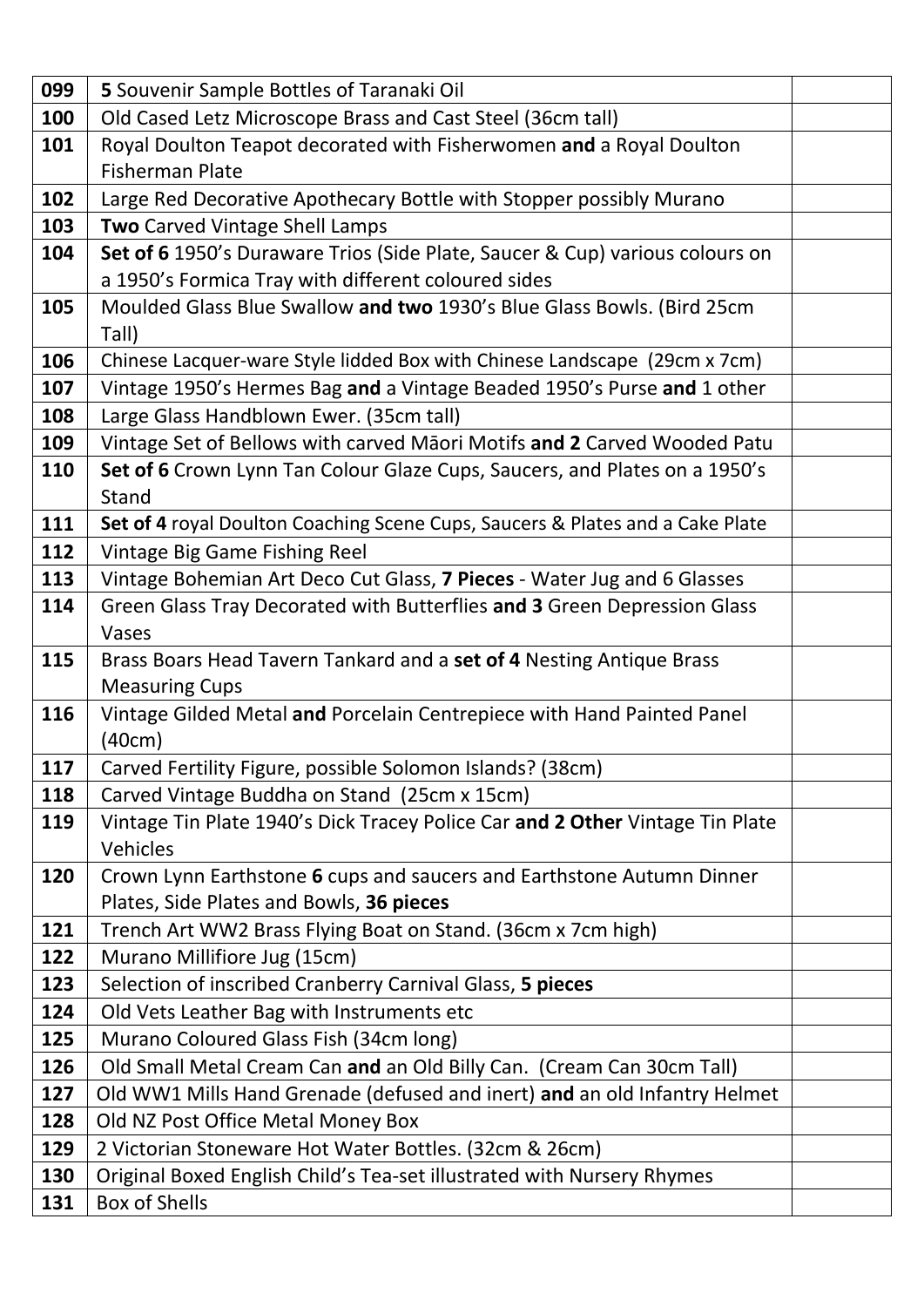| Old Cased Letz Microscope Brass and Cast Steel (36cm tall)<br>100<br>Royal Doulton Teapot decorated with Fisherwomen and a Royal Doulton<br>101<br><b>Fisherman Plate</b><br>102<br>Large Red Decorative Apothecary Bottle with Stopper possibly Murano<br>103<br>Two Carved Vintage Shell Lamps<br>Set of 6 1950's Duraware Trios (Side Plate, Saucer & Cup) various colours on<br>104<br>a 1950's Formica Tray with different coloured sides<br>105<br>Moulded Glass Blue Swallow and two 1930's Blue Glass Bowls. (Bird 25cm<br>Tall)<br>Chinese Lacquer-ware Style lidded Box with Chinese Landscape (29cm x 7cm)<br>106<br>Vintage 1950's Hermes Bag and a Vintage Beaded 1950's Purse and 1 other<br>107<br>Large Glass Handblown Ewer. (35cm tall)<br>108 |  |
|------------------------------------------------------------------------------------------------------------------------------------------------------------------------------------------------------------------------------------------------------------------------------------------------------------------------------------------------------------------------------------------------------------------------------------------------------------------------------------------------------------------------------------------------------------------------------------------------------------------------------------------------------------------------------------------------------------------------------------------------------------------|--|
|                                                                                                                                                                                                                                                                                                                                                                                                                                                                                                                                                                                                                                                                                                                                                                  |  |
|                                                                                                                                                                                                                                                                                                                                                                                                                                                                                                                                                                                                                                                                                                                                                                  |  |
|                                                                                                                                                                                                                                                                                                                                                                                                                                                                                                                                                                                                                                                                                                                                                                  |  |
|                                                                                                                                                                                                                                                                                                                                                                                                                                                                                                                                                                                                                                                                                                                                                                  |  |
|                                                                                                                                                                                                                                                                                                                                                                                                                                                                                                                                                                                                                                                                                                                                                                  |  |
|                                                                                                                                                                                                                                                                                                                                                                                                                                                                                                                                                                                                                                                                                                                                                                  |  |
|                                                                                                                                                                                                                                                                                                                                                                                                                                                                                                                                                                                                                                                                                                                                                                  |  |
|                                                                                                                                                                                                                                                                                                                                                                                                                                                                                                                                                                                                                                                                                                                                                                  |  |
|                                                                                                                                                                                                                                                                                                                                                                                                                                                                                                                                                                                                                                                                                                                                                                  |  |
|                                                                                                                                                                                                                                                                                                                                                                                                                                                                                                                                                                                                                                                                                                                                                                  |  |
|                                                                                                                                                                                                                                                                                                                                                                                                                                                                                                                                                                                                                                                                                                                                                                  |  |
|                                                                                                                                                                                                                                                                                                                                                                                                                                                                                                                                                                                                                                                                                                                                                                  |  |
| Vintage Set of Bellows with carved Māori Motifs and 2 Carved Wooded Patu<br>109                                                                                                                                                                                                                                                                                                                                                                                                                                                                                                                                                                                                                                                                                  |  |
| 110<br>Set of 6 Crown Lynn Tan Colour Glaze Cups, Saucers, and Plates on a 1950's                                                                                                                                                                                                                                                                                                                                                                                                                                                                                                                                                                                                                                                                                |  |
| <b>Stand</b>                                                                                                                                                                                                                                                                                                                                                                                                                                                                                                                                                                                                                                                                                                                                                     |  |
| 111<br>Set of 4 royal Doulton Coaching Scene Cups, Saucers & Plates and a Cake Plate                                                                                                                                                                                                                                                                                                                                                                                                                                                                                                                                                                                                                                                                             |  |
| 112<br>Vintage Big Game Fishing Reel                                                                                                                                                                                                                                                                                                                                                                                                                                                                                                                                                                                                                                                                                                                             |  |
| 113<br>Vintage Bohemian Art Deco Cut Glass, 7 Pieces - Water Jug and 6 Glasses                                                                                                                                                                                                                                                                                                                                                                                                                                                                                                                                                                                                                                                                                   |  |
| 114<br>Green Glass Tray Decorated with Butterflies and 3 Green Depression Glass                                                                                                                                                                                                                                                                                                                                                                                                                                                                                                                                                                                                                                                                                  |  |
| Vases                                                                                                                                                                                                                                                                                                                                                                                                                                                                                                                                                                                                                                                                                                                                                            |  |
| 115<br>Brass Boars Head Tavern Tankard and a set of 4 Nesting Antique Brass                                                                                                                                                                                                                                                                                                                                                                                                                                                                                                                                                                                                                                                                                      |  |
| <b>Measuring Cups</b>                                                                                                                                                                                                                                                                                                                                                                                                                                                                                                                                                                                                                                                                                                                                            |  |
| Vintage Gilded Metal and Porcelain Centrepiece with Hand Painted Panel<br>116                                                                                                                                                                                                                                                                                                                                                                                                                                                                                                                                                                                                                                                                                    |  |
| (40cm)                                                                                                                                                                                                                                                                                                                                                                                                                                                                                                                                                                                                                                                                                                                                                           |  |
| 117<br>Carved Fertility Figure, possible Solomon Islands? (38cm)                                                                                                                                                                                                                                                                                                                                                                                                                                                                                                                                                                                                                                                                                                 |  |
| 118<br>Carved Vintage Buddha on Stand (25cm x 15cm)                                                                                                                                                                                                                                                                                                                                                                                                                                                                                                                                                                                                                                                                                                              |  |
| 119<br>Vintage Tin Plate 1940's Dick Tracey Police Car and 2 Other Vintage Tin Plate<br><b>Vehicles</b>                                                                                                                                                                                                                                                                                                                                                                                                                                                                                                                                                                                                                                                          |  |
| 120                                                                                                                                                                                                                                                                                                                                                                                                                                                                                                                                                                                                                                                                                                                                                              |  |
| Crown Lynn Earthstone 6 cups and saucers and Earthstone Autumn Dinner<br>Plates, Side Plates and Bowls, 36 pieces                                                                                                                                                                                                                                                                                                                                                                                                                                                                                                                                                                                                                                                |  |
| Trench Art WW2 Brass Flying Boat on Stand. (36cm x 7cm high)<br>121                                                                                                                                                                                                                                                                                                                                                                                                                                                                                                                                                                                                                                                                                              |  |
| 122<br>Murano Millifiore Jug (15cm)                                                                                                                                                                                                                                                                                                                                                                                                                                                                                                                                                                                                                                                                                                                              |  |
| 123<br>Selection of inscribed Cranberry Carnival Glass, 5 pieces                                                                                                                                                                                                                                                                                                                                                                                                                                                                                                                                                                                                                                                                                                 |  |
| Old Vets Leather Bag with Instruments etc<br>124                                                                                                                                                                                                                                                                                                                                                                                                                                                                                                                                                                                                                                                                                                                 |  |
| Murano Coloured Glass Fish (34cm long)<br>125                                                                                                                                                                                                                                                                                                                                                                                                                                                                                                                                                                                                                                                                                                                    |  |
| Old Small Metal Cream Can and an Old Billy Can. (Cream Can 30cm Tall)<br>126                                                                                                                                                                                                                                                                                                                                                                                                                                                                                                                                                                                                                                                                                     |  |
| Old WW1 Mills Hand Grenade (defused and inert) and an old Infantry Helmet<br>127                                                                                                                                                                                                                                                                                                                                                                                                                                                                                                                                                                                                                                                                                 |  |
| Old NZ Post Office Metal Money Box<br>128                                                                                                                                                                                                                                                                                                                                                                                                                                                                                                                                                                                                                                                                                                                        |  |
| 129<br>2 Victorian Stoneware Hot Water Bottles. (32cm & 26cm)                                                                                                                                                                                                                                                                                                                                                                                                                                                                                                                                                                                                                                                                                                    |  |
| Original Boxed English Child's Tea-set illustrated with Nursery Rhymes<br>130                                                                                                                                                                                                                                                                                                                                                                                                                                                                                                                                                                                                                                                                                    |  |
| Box of Shells<br>131                                                                                                                                                                                                                                                                                                                                                                                                                                                                                                                                                                                                                                                                                                                                             |  |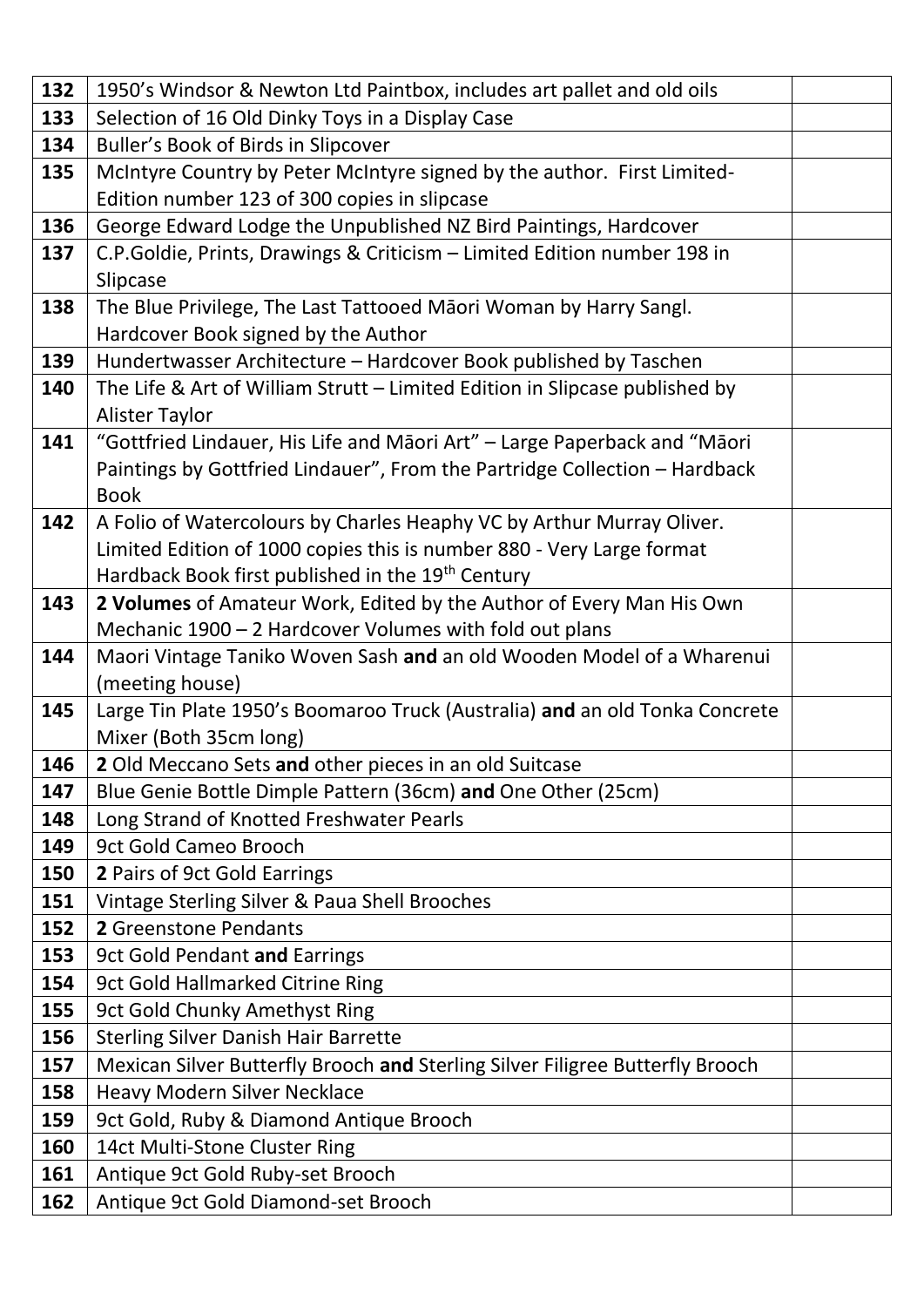| 132        | 1950's Windsor & Newton Ltd Paintbox, includes art pallet and old oils                                                                |  |
|------------|---------------------------------------------------------------------------------------------------------------------------------------|--|
| 133        | Selection of 16 Old Dinky Toys in a Display Case                                                                                      |  |
| 134        | Buller's Book of Birds in Slipcover                                                                                                   |  |
| 135        | McIntyre Country by Peter McIntyre signed by the author. First Limited-                                                               |  |
|            | Edition number 123 of 300 copies in slipcase                                                                                          |  |
| 136        | George Edward Lodge the Unpublished NZ Bird Paintings, Hardcover                                                                      |  |
| 137        | C.P.Goldie, Prints, Drawings & Criticism - Limited Edition number 198 in                                                              |  |
|            | Slipcase                                                                                                                              |  |
| 138        | The Blue Privilege, The Last Tattooed Māori Woman by Harry Sangl.                                                                     |  |
|            | Hardcover Book signed by the Author                                                                                                   |  |
| 139        | Hundertwasser Architecture - Hardcover Book published by Taschen                                                                      |  |
| 140        | The Life & Art of William Strutt - Limited Edition in Slipcase published by                                                           |  |
|            | <b>Alister Taylor</b>                                                                                                                 |  |
| 141        | "Gottfried Lindauer, His Life and Māori Art" - Large Paperback and "Māori                                                             |  |
|            | Paintings by Gottfried Lindauer", From the Partridge Collection - Hardback                                                            |  |
|            | <b>Book</b>                                                                                                                           |  |
| 142        | A Folio of Watercolours by Charles Heaphy VC by Arthur Murray Oliver.                                                                 |  |
|            | Limited Edition of 1000 copies this is number 880 - Very Large format                                                                 |  |
| 143        | Hardback Book first published in the 19 <sup>th</sup> Century<br>2 Volumes of Amateur Work, Edited by the Author of Every Man His Own |  |
|            | Mechanic 1900 - 2 Hardcover Volumes with fold out plans                                                                               |  |
| 144        | Maori Vintage Taniko Woven Sash and an old Wooden Model of a Wharenui                                                                 |  |
|            | (meeting house)                                                                                                                       |  |
| 145        | Large Tin Plate 1950's Boomaroo Truck (Australia) and an old Tonka Concrete                                                           |  |
|            |                                                                                                                                       |  |
|            |                                                                                                                                       |  |
| 146        | Mixer (Both 35cm long)                                                                                                                |  |
| 147        | 2 Old Meccano Sets and other pieces in an old Suitcase<br>Blue Genie Bottle Dimple Pattern (36cm) and One Other (25cm)                |  |
| 148        | Long Strand of Knotted Freshwater Pearls                                                                                              |  |
| 149        | 9ct Gold Cameo Brooch                                                                                                                 |  |
| 150        | 2 Pairs of 9ct Gold Earrings                                                                                                          |  |
| 151        | Vintage Sterling Silver & Paua Shell Brooches                                                                                         |  |
| 152        | 2 Greenstone Pendants                                                                                                                 |  |
| 153        | <b>9ct Gold Pendant and Earrings</b>                                                                                                  |  |
| 154        | <b>9ct Gold Hallmarked Citrine Ring</b>                                                                                               |  |
| 155        | <b>9ct Gold Chunky Amethyst Ring</b>                                                                                                  |  |
| 156        | <b>Sterling Silver Danish Hair Barrette</b>                                                                                           |  |
| 157        | Mexican Silver Butterfly Brooch and Sterling Silver Filigree Butterfly Brooch                                                         |  |
| 158        | <b>Heavy Modern Silver Necklace</b>                                                                                                   |  |
| 159        | 9ct Gold, Ruby & Diamond Antique Brooch                                                                                               |  |
| 160        | 14ct Multi-Stone Cluster Ring                                                                                                         |  |
| 161<br>162 | Antique 9ct Gold Ruby-set Brooch<br>Antique 9ct Gold Diamond-set Brooch                                                               |  |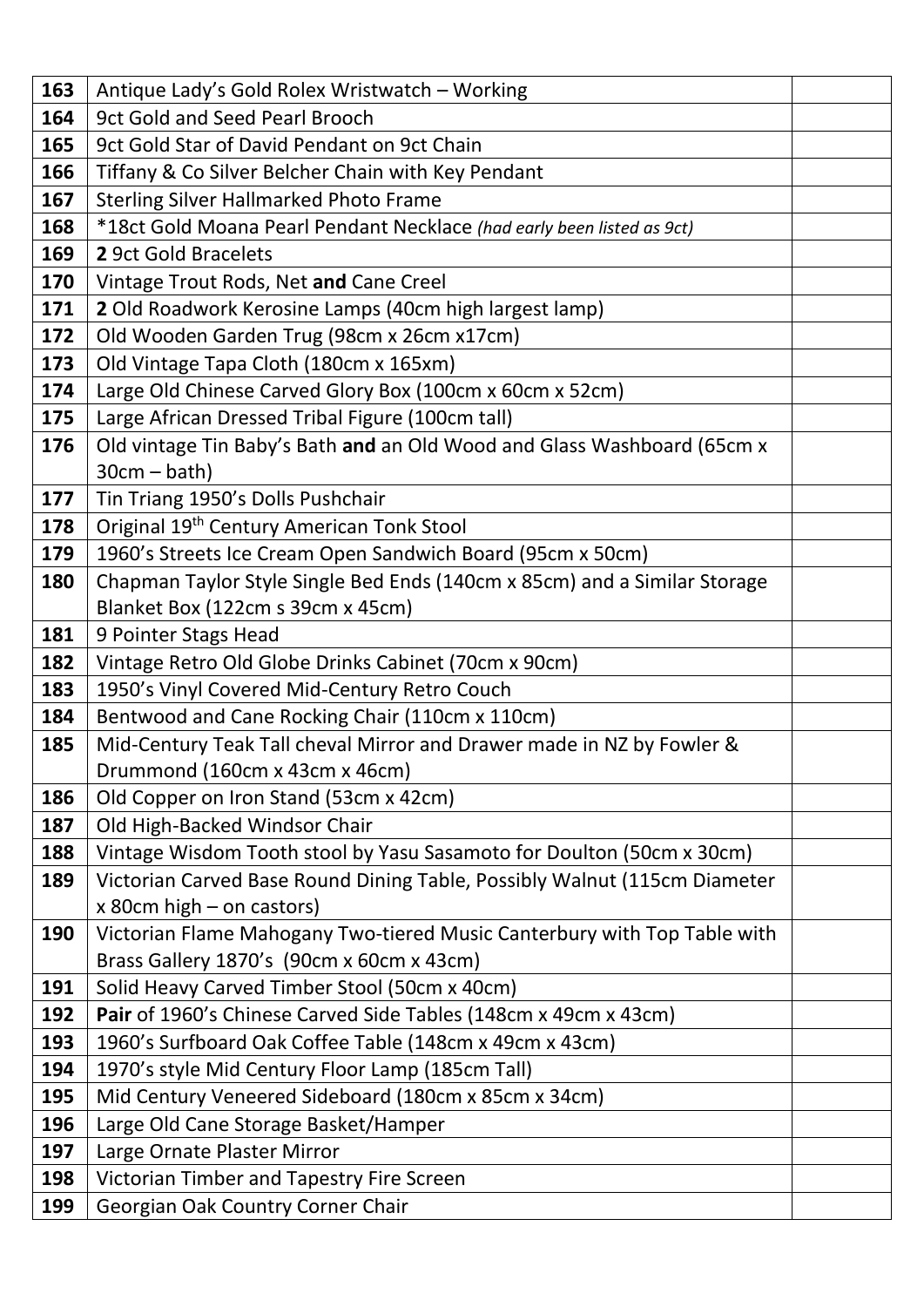| 163 | Antique Lady's Gold Rolex Wristwatch - Working                            |  |
|-----|---------------------------------------------------------------------------|--|
| 164 | <b>9ct Gold and Seed Pearl Brooch</b>                                     |  |
| 165 | 9ct Gold Star of David Pendant on 9ct Chain                               |  |
| 166 | Tiffany & Co Silver Belcher Chain with Key Pendant                        |  |
| 167 | <b>Sterling Silver Hallmarked Photo Frame</b>                             |  |
| 168 | *18ct Gold Moana Pearl Pendant Necklace (had early been listed as 9ct)    |  |
| 169 | 2 9ct Gold Bracelets                                                      |  |
| 170 | Vintage Trout Rods, Net and Cane Creel                                    |  |
| 171 | 2 Old Roadwork Kerosine Lamps (40cm high largest lamp)                    |  |
| 172 | Old Wooden Garden Trug (98cm x 26cm x17cm)                                |  |
| 173 | Old Vintage Tapa Cloth (180cm x 165xm)                                    |  |
| 174 | Large Old Chinese Carved Glory Box (100cm x 60cm x 52cm)                  |  |
| 175 | Large African Dressed Tribal Figure (100cm tall)                          |  |
| 176 | Old vintage Tin Baby's Bath and an Old Wood and Glass Washboard (65cm x   |  |
|     | $30cm - bath$ )                                                           |  |
| 177 | Tin Triang 1950's Dolls Pushchair                                         |  |
| 178 | Original 19 <sup>th</sup> Century American Tonk Stool                     |  |
| 179 | 1960's Streets Ice Cream Open Sandwich Board (95cm x 50cm)                |  |
| 180 | Chapman Taylor Style Single Bed Ends (140cm x 85cm) and a Similar Storage |  |
|     | Blanket Box (122cm s 39cm x 45cm)                                         |  |
| 181 | 9 Pointer Stags Head                                                      |  |
| 182 | Vintage Retro Old Globe Drinks Cabinet (70cm x 90cm)                      |  |
| 183 | 1950's Vinyl Covered Mid-Century Retro Couch                              |  |
| 184 | Bentwood and Cane Rocking Chair (110cm x 110cm)                           |  |
| 185 | Mid-Century Teak Tall cheval Mirror and Drawer made in NZ by Fowler &     |  |
|     | Drummond (160cm x 43cm x 46cm)                                            |  |
| 186 | Old Copper on Iron Stand (53cm x 42cm)                                    |  |
| 187 | Old High-Backed Windsor Chair                                             |  |
| 188 | Vintage Wisdom Tooth stool by Yasu Sasamoto for Doulton (50cm x 30cm)     |  |
| 189 | Victorian Carved Base Round Dining Table, Possibly Walnut (115cm Diameter |  |
|     | x 80cm high $-$ on castors)                                               |  |
| 190 | Victorian Flame Mahogany Two-tiered Music Canterbury with Top Table with  |  |
|     | Brass Gallery 1870's (90cm x 60cm x 43cm)                                 |  |
| 191 | Solid Heavy Carved Timber Stool (50cm x 40cm)                             |  |
| 192 | Pair of 1960's Chinese Carved Side Tables (148cm x 49cm x 43cm)           |  |
| 193 | 1960's Surfboard Oak Coffee Table (148cm x 49cm x 43cm)                   |  |
| 194 | 1970's style Mid Century Floor Lamp (185cm Tall)                          |  |
| 195 | Mid Century Veneered Sideboard (180cm x 85cm x 34cm)                      |  |
| 196 | Large Old Cane Storage Basket/Hamper                                      |  |
| 197 | Large Ornate Plaster Mirror                                               |  |
| 198 | Victorian Timber and Tapestry Fire Screen                                 |  |
| 199 | Georgian Oak Country Corner Chair                                         |  |